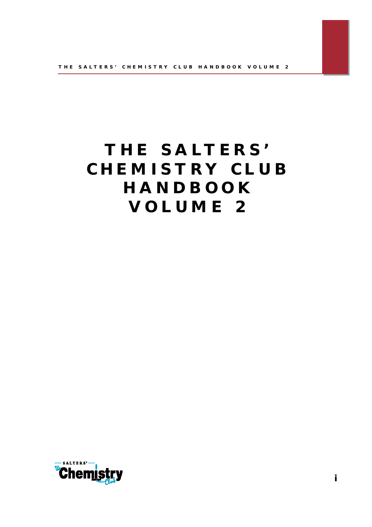# **T H E S A LT E R S ' C H E M I S T R Y C L U B H A N D B O O K V O L U M E 2**

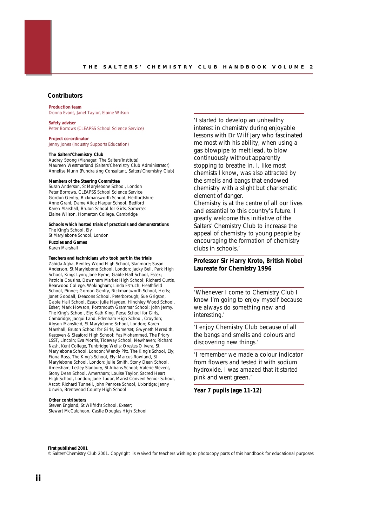### **Contributors**

**Production team** Donna Evans, Janet Taylor, Elaine Wilson

**Safety adviser**

Peter Borrows (CLEAPSS School Science Service)

**Project co-ordinator** Jenny Jones (Industry Supports Education)

### **The Salters'Chemistry Club**

Audrey Strong (Manager, The Salters'Institute) Maureen Westmarland (Salters'Chemistry Club Administrator) Annelise Nunn (Fundraising Consultant, Salters'Chemistry Club)

### **Members of the Steering Committee**

Susan Anderson, St Marylebone School, London Peter Borrows, CLEAPSS School Science Service Gordon Gentry, Rickmansworth School, Hertfordshire Anne Grant, Dame Alice Harpur School, Bedford Karen Marshall, Bruton School for Girls, Somerset Elaine Wilson, Homerton College, Cambridge

#### **Schools which hosted trials of practicals and demonstrations** The King's School, Ely

St Marylebone School, London **Puzzles and Games**

Karen Marshall

### **Teachers and technicians who took part in the trials**

Zahida Agha, Bentley Wood High School, Stanmore; Susan Anderson, St Marylebone School, London; Jacky Bell, Park High School, Kings Lynn; Jane Byrne, Gable Hall School, Essex Patricia Cousins, Downham Market High School; Richard Curtis, Bearwood College, Wokingham; Linda Estruch, Heathfield School, Pinner; Gordon Gentry, Rickmansworth School, Herts; Janet Goodall, Deacons School, Peterborough; Sue Grigson, Gable Hall School, Essex; Julie Hayden, Hinchley Wood School, Esher; Mark Howson, Portsmouth Grammar School; John Jermy, The King's School, Ely; Kath King, Perse School for Girls, Cambridge; Jacqui Land, Edenham High School, Croydon; Alyson Mansfield, St Marylebone School, London; Karen Marshall, Bruton School for Girls, Somerset; Gwyneth Meredith, Kesteven & Sleaford High School; Yas Mohammed, The Priory LSST, Lincoln; Eva Morris, Tideway School, Newhaven; Richard Nash, Kent College, Tunbridge Wells; Orestes Olivera, St Marylebone School, London; Wendy Pitt, The King's School, Ely; Fiona Ross, The King's School, Ely; Marcus Rowland, St Marylebone School, London; Julie Smith, Stony Dean School, Amersham; Lesley Stanbury, St Albans School; Valerie Stevens, Stony Dean School, Amersham; Louise Taylor, Sacred Heart High School, London; Jane Tudor, Marist Convent Senior School, Ascot; Richard Tunnell, John Penrose School, Uxbridge; Jenny Unwin, Brentwood County High School

### **Other contributors**

Steven England, St Wilfrid's School, Exeter; Stewart McCutcheon, Castle Douglas High School

*'I started to develop an unhealthy interest in chemistry during enjoyable lessons with Dr Wilf Jary who fascinated me most with his ability, when using a gas blowpipe to melt lead, to blow continuously without apparently stopping to breathe in. I, like most chemists I know, was also attracted by the smells and bangs that endowed chemistry with a slight but charismatic element of danger.*

*Chemistry is at the centre of all our lives and essential to this country's future. I greatly welcome this initiative of the Salters' Chemistry Club to increase the appeal of chemistry to young people by encouraging the formation of chemistry clubs in schools.'*

*Professor Sir Harry Kroto, British Nobel Laureate for Chemistry 1996*

*'Whenever I come to Chemistry Club I know I'm going to enjoy myself because we always do something new and interesting.'*

*'I enjoy Chemistry Club because of all the bangs and smells and colours and discovering new things.'*

*'I remember we made a colour indicator from flowers and tested it with sodium hydroxide. I was amazed that it started pink and went green.'*

*Year 7 pupils (age 11-12)*

#### **First published 2001**

© Salters'Chemistry Club 2001. Copyright is waived for teachers wishing to photocopy parts of this handbook for educational purposes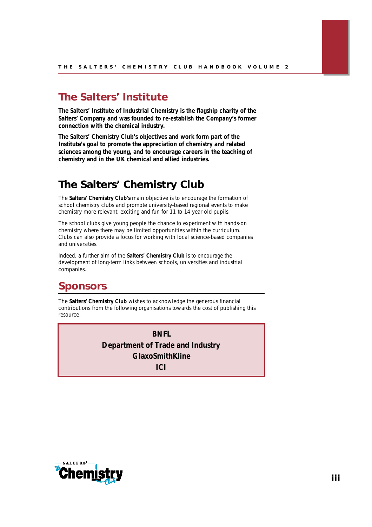# *The Salters' Institute*

*The Salters' Institute of Industrial Chemistry is the flagship charity of the Salters' Company and was founded to re-establish the Company's former connection with the chemical industry.*

*The Salters' Chemistry Club's objectives and work form part of the Institute's goal to promote the appreciation of chemistry and related sciences among the young, and to encourage careers in the teaching of chemistry and in the UK chemical and allied industries.*

# **The Salters' Chemistry Club**

The **Salters' Chemistry Club's** main objective is to encourage the formation of school chemistry clubs and promote university-based regional events to make chemistry more relevant, exciting and fun for 11 to 14 year old pupils.

The school clubs give young people the chance to experiment with hands-on chemistry where there may be limited opportunities within the curriculum. Clubs can also provide a focus for working with local science-based companies and universities.

Indeed, a further aim of the **Salters' Chemistry Club** is to encourage the development of long-term links between schools, universities and industrial companies.

# *Sponsors*

The **Salters' Chemistry Club** wishes to acknowledge the generous financial contributions from the following organisations towards the cost of publishing this resource.

> *BNFL Department of Trade and Industry GlaxoSmithKline*  $ICI$